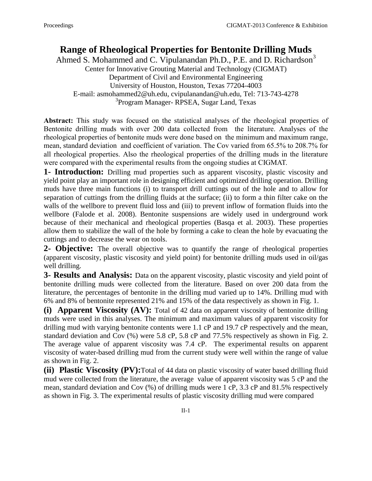## **Range of Rheological Properties for Bentonite Drilling Muds**

Ahmed S. Mohammed and C. Vipulanandan Ph.D., P.E. and D. Richardson<sup>3</sup> Center for Innovative Grouting Material and Technology (CIGMAT) Department of Civil and Environmental Engineering University of Houston, Houston, Texas 77204-4003 E-mail: [asmohammed2@uh.edu,](mailto:Asmohammed2@uh.edu) cvipulanandan@uh.edu, Tel: 713-743-4278 3 Program Manager- RPSEA, Sugar Land, Texas

Abstract: This study was focused on the statistical analyses of the rheological properties of Bentonite drilling muds with over 200 data collected from the literature. Analyses of the rheological properties of bentonite muds were done based on the minimum and maximum range, mean, standard deviation and coefficient of variation. The Cov varied from 65.5% to 208.7% for all rheological properties. Also the rheological properties of the drilling muds in the literature were compared with the experimental results from the ongoing studies at CIGMAT.

**1- Introduction:** Drilling mud properties such as apparent viscosity, plastic viscosity and yield point play an important role in designing efficient and optimized drilling operation. Drilling muds have three main functions (i) to transport drill cuttings out of the hole and to allow for separation of cuttings from the drilling fluids at the surface; (ii) to form a thin filter cake on the walls of the wellbore to prevent fluid loss and (iii) to prevent inflow of formation fluids into the wellbore (Falode et al. 2008). Bentonite suspensions are widely used in underground work because of their mechanical and rheological properties (Basqa et al. 2003). These properties allow them to stabilize the wall of the hole by forming a cake to clean the hole by evacuating the cuttings and to decrease the wear on tools.

**2- Objective:** The overall objective was to quantify the range of rheological properties (apparent viscosity, plastic viscosity and yield point) for bentonite drilling muds used in oil/gas well drilling.

**3- Results and Analysis:** Data on the apparent viscosity, plastic viscosity and yield point of bentonite drilling muds were collected from the literature. Based on over 200 data from the literature, the percentages of bentonite in the drilling mud varied up to 14%. Drilling mud with 6% and 8% of bentonite represented 21% and 15% of the data respectively as shown in Fig. 1.

**(i) Apparent Viscosity (AV):** Total of 42 data on apparent viscosity of bentonite drilling muds were used in this analyses. The minimum and maximum values of apparent viscosity for drilling mud with varying bentonite contents were 1.1 cP and 19.7 cP respectively and the mean, standard deviation and Cov (%) were 5.8 cP, 5.8 cP and 77.5% respectively as shown in Fig. 2. The average value of apparent viscosity was 7.4 cP. The experimental results on apparent viscosity of water-based drilling mud from the current study were well within the range of value as shown in Fig. 2.

**(ii) Plastic Viscosity (PV):**Total of 44 data on plastic viscosity of water based drilling fluid mud were collected from the literature, the average value of apparent viscosity was 5 cP and the mean, standard deviation and Cov (%) of drilling muds were 1 cP, 3.3 cP and 81.5% respectively as shown in Fig. 3. The experimental results of plastic viscosity drilling mud were compared